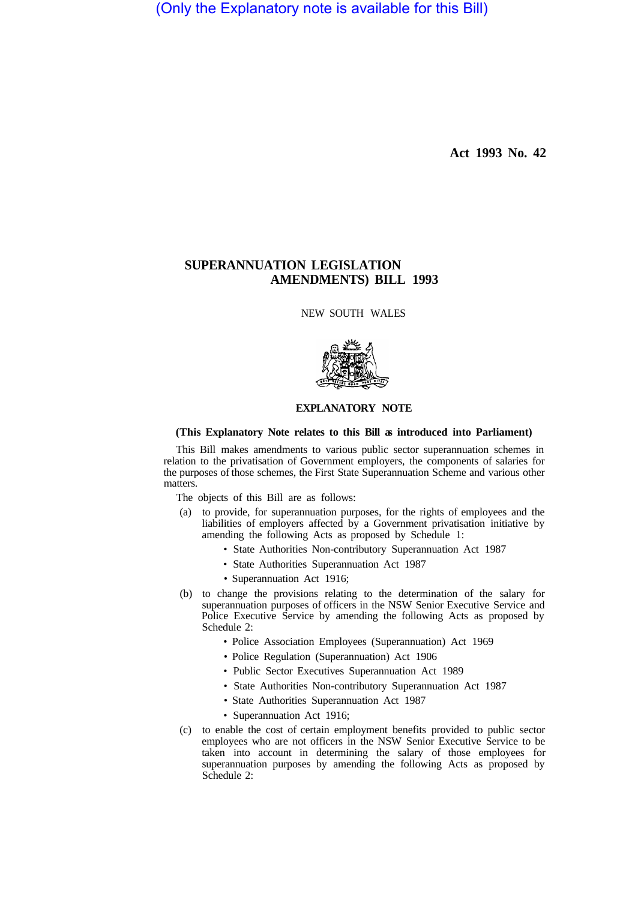(Only the Explanatory note is available for this Bill)

**Act 1993 No. 42** 

## **SUPERANNUATION LEGISLATION AMENDMENTS) BILL 1993**

NEW SOUTH WALES



## **EXPLANATORY NOTE**

## **(This Explanatory Note relates to this Bill as introduced into Parliament)**

This Bill makes amendments to various public sector superannuation schemes in relation to the privatisation of Government employers, the components of salaries for the purposes of those schemes, the First State Superannuation Scheme and various other matters.

The objects of this Bill are as follows:

- (a) to provide, for superannuation purposes, for the rights of employees and the liabilities of employers affected by a Government privatisation initiative by amending the following Acts as proposed by Schedule 1:
	- State Authorities Non-contributory Superannuation Act 1987
	- State Authorities Superannuation Act 1987
	- Superannuation Act 1916;
- (b) to change the provisions relating to the determination of the salary for superannuation purposes of officers in the NSW Senior Executive Service and Police Executive Service by amending the following Acts as proposed by Schedule 2:
	- Police Association Employees (Superannuation) Act 1969
	- Police Regulation (Superannuation) Act 1906
	- Public Sector Executives Superannuation Act 1989
	- State Authorities Non-contributory Superannuation Act 1987
	- State Authorities Superannuation Act 1987
	- Superannuation Act 1916;
- (c) to enable the cost of certain employment benefits provided to public sector employees who are not officers in the NSW Senior Executive Service to be taken into account in determining the salary of those employees for superannuation purposes by amending the following Acts as proposed by Schedule 2: